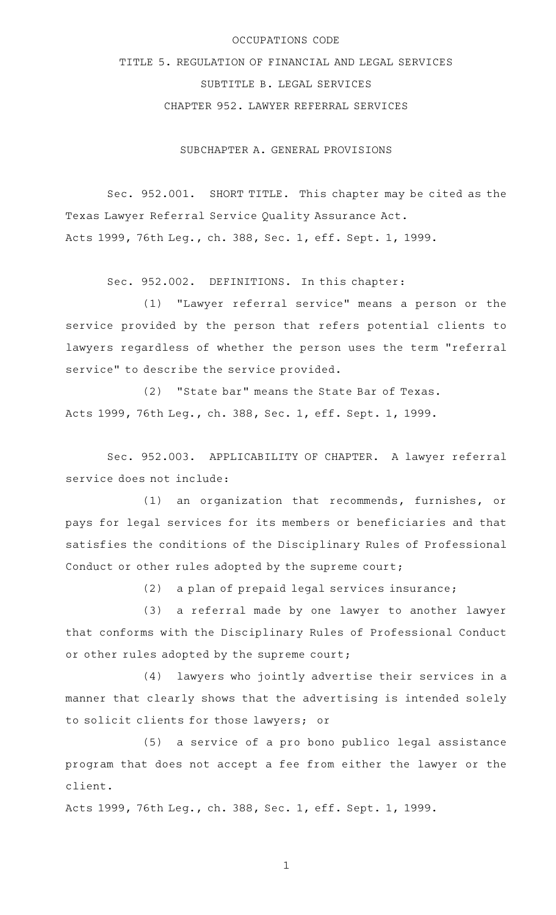## OCCUPATIONS CODE

## TITLE 5. REGULATION OF FINANCIAL AND LEGAL SERVICES SUBTITLE B. LEGAL SERVICES CHAPTER 952. LAWYER REFERRAL SERVICES

SUBCHAPTER A. GENERAL PROVISIONS

Sec. 952.001. SHORT TITLE. This chapter may be cited as the Texas Lawyer Referral Service Quality Assurance Act. Acts 1999, 76th Leg., ch. 388, Sec. 1, eff. Sept. 1, 1999.

Sec. 952.002. DEFINITIONS. In this chapter:

(1) "Lawyer referral service" means a person or the service provided by the person that refers potential clients to lawyers regardless of whether the person uses the term "referral service" to describe the service provided.

(2) "State bar" means the State Bar of Texas. Acts 1999, 76th Leg., ch. 388, Sec. 1, eff. Sept. 1, 1999.

Sec. 952.003. APPLICABILITY OF CHAPTER. A lawyer referral service does not include:

 $(1)$  an organization that recommends, furnishes, or pays for legal services for its members or beneficiaries and that satisfies the conditions of the Disciplinary Rules of Professional Conduct or other rules adopted by the supreme court;

 $(2)$  a plan of prepaid legal services insurance;

(3) a referral made by one lawyer to another lawyer that conforms with the Disciplinary Rules of Professional Conduct or other rules adopted by the supreme court;

(4) lawyers who jointly advertise their services in a manner that clearly shows that the advertising is intended solely to solicit clients for those lawyers; or

(5) a service of a pro bono publico legal assistance program that does not accept a fee from either the lawyer or the client.

Acts 1999, 76th Leg., ch. 388, Sec. 1, eff. Sept. 1, 1999.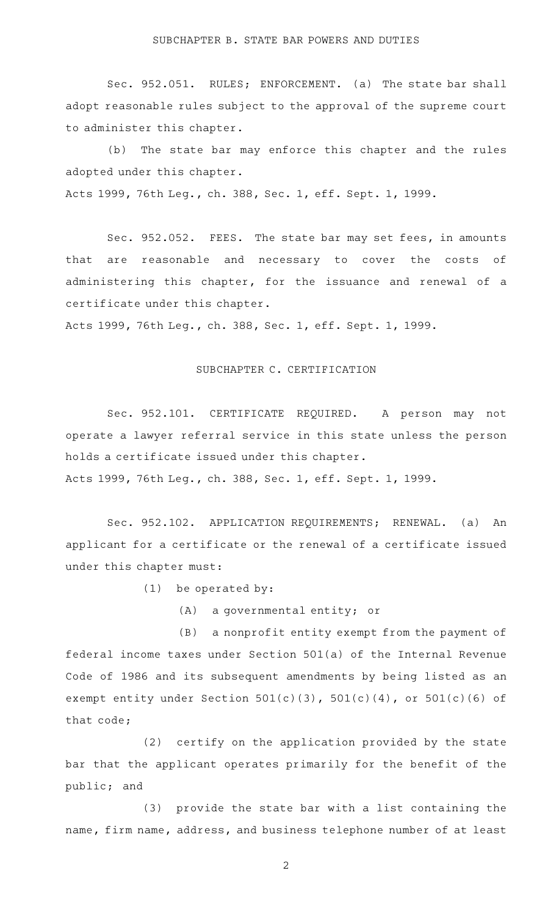Sec. 952.051. RULES; ENFORCEMENT. (a) The state bar shall adopt reasonable rules subject to the approval of the supreme court to administer this chapter.

(b) The state bar may enforce this chapter and the rules adopted under this chapter.

Acts 1999, 76th Leg., ch. 388, Sec. 1, eff. Sept. 1, 1999.

Sec. 952.052. FEES. The state bar may set fees, in amounts that are reasonable and necessary to cover the costs of administering this chapter, for the issuance and renewal of a certificate under this chapter.

Acts 1999, 76th Leg., ch. 388, Sec. 1, eff. Sept. 1, 1999.

## SUBCHAPTER C. CERTIFICATION

Sec. 952.101. CERTIFICATE REQUIRED. A person may not operate a lawyer referral service in this state unless the person holds a certificate issued under this chapter.

Acts 1999, 76th Leg., ch. 388, Sec. 1, eff. Sept. 1, 1999.

Sec. 952.102. APPLICATION REQUIREMENTS; RENEWAL. (a) An applicant for a certificate or the renewal of a certificate issued under this chapter must:

 $(1)$  be operated by:

 $(A)$  a governmental entity; or

(B) a nonprofit entity exempt from the payment of federal income taxes under Section 501(a) of the Internal Revenue Code of 1986 and its subsequent amendments by being listed as an exempt entity under Section  $501(c)(3)$ ,  $501(c)(4)$ , or  $501(c)(6)$  of that code;

(2) certify on the application provided by the state bar that the applicant operates primarily for the benefit of the public; and

(3) provide the state bar with a list containing the name, firm name, address, and business telephone number of at least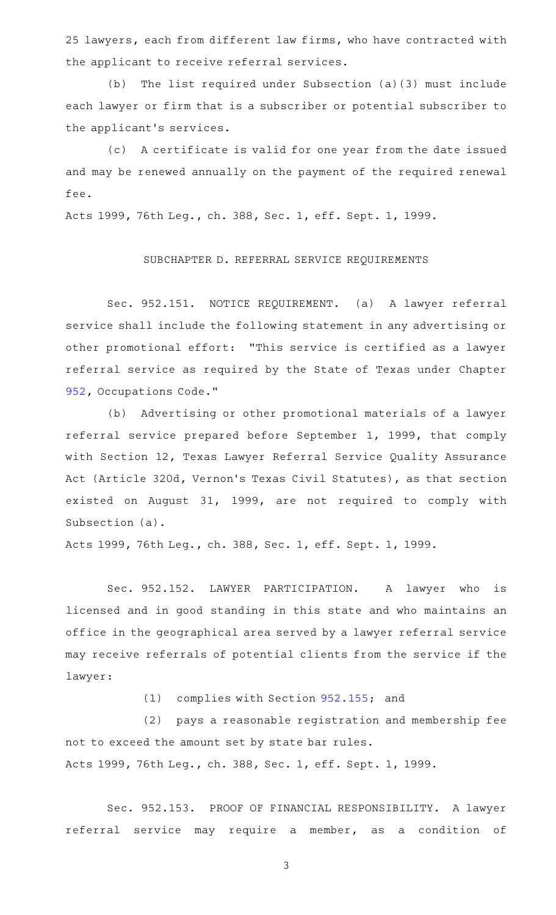25 lawyers, each from different law firms, who have contracted with the applicant to receive referral services.

(b) The list required under Subsection (a)(3) must include each lawyer or firm that is a subscriber or potential subscriber to the applicant 's services.

(c) A certificate is valid for one year from the date issued and may be renewed annually on the payment of the required renewal fee.

Acts 1999, 76th Leg., ch. 388, Sec. 1, eff. Sept. 1, 1999.

## SUBCHAPTER D. REFERRAL SERVICE REQUIREMENTS

Sec. 952.151. NOTICE REQUIREMENT. (a) A lawyer referral service shall include the following statement in any advertising or other promotional effort: "This service is certified as a lawyer referral service as required by the State of Texas under Chapter [952,](http://www.statutes.legis.state.tx.us/GetStatute.aspx?Code=OC&Value=952) Occupations Code."

(b) Advertising or other promotional materials of a lawyer referral service prepared before September 1, 1999, that comply with Section 12, Texas Lawyer Referral Service Quality Assurance Act (Article 320d, Vernon 's Texas Civil Statutes), as that section existed on August 31, 1999, are not required to comply with Subsection (a).

Acts 1999, 76th Leg., ch. 388, Sec. 1, eff. Sept. 1, 1999.

Sec. 952.152. LAWYER PARTICIPATION. A lawyer who is licensed and in good standing in this state and who maintains an office in the geographical area served by a lawyer referral service may receive referrals of potential clients from the service if the lawyer:

 $(1)$  complies with Section [952.155;](http://www.statutes.legis.state.tx.us/GetStatute.aspx?Code=OC&Value=952.155) and

(2) pays a reasonable registration and membership fee not to exceed the amount set by state bar rules. Acts 1999, 76th Leg., ch. 388, Sec. 1, eff. Sept. 1, 1999.

Sec. 952.153. PROOF OF FINANCIAL RESPONSIBILITY. A lawyer referral service may require a member, as a condition of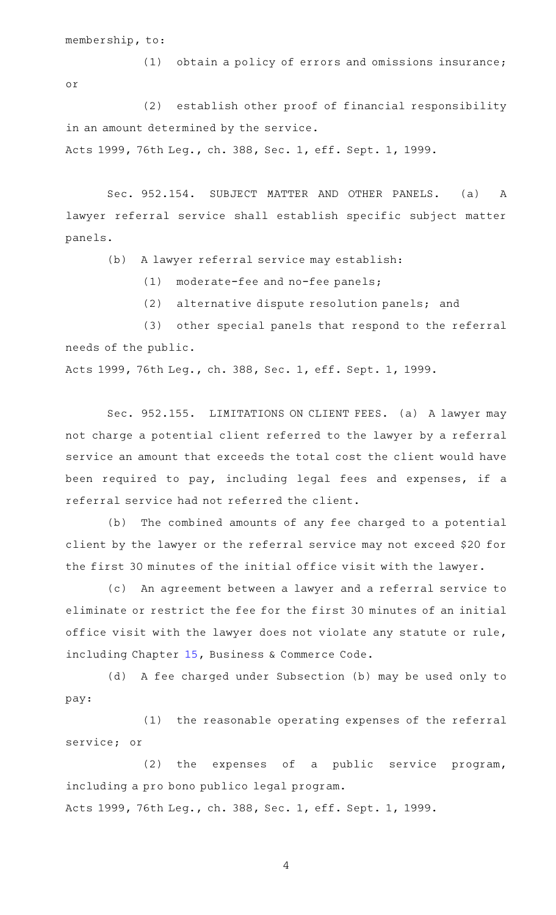membership, to:

(1) obtain a policy of errors and omissions insurance; or

(2) establish other proof of financial responsibility in an amount determined by the service.

Acts 1999, 76th Leg., ch. 388, Sec. 1, eff. Sept. 1, 1999.

Sec. 952.154. SUBJECT MATTER AND OTHER PANELS. (a) A lawyer referral service shall establish specific subject matter panels.

(b) A lawyer referral service may establish:

(1) moderate-fee and no-fee panels;

(2) alternative dispute resolution panels; and

(3) other special panels that respond to the referral needs of the public.

Acts 1999, 76th Leg., ch. 388, Sec. 1, eff. Sept. 1, 1999.

Sec. 952.155. LIMITATIONS ON CLIENT FEES. (a) A lawyer may not charge a potential client referred to the lawyer by a referral service an amount that exceeds the total cost the client would have been required to pay, including legal fees and expenses, if a referral service had not referred the client.

(b) The combined amounts of any fee charged to a potential client by the lawyer or the referral service may not exceed \$20 for the first 30 minutes of the initial office visit with the lawyer.

(c) An agreement between a lawyer and a referral service to eliminate or restrict the fee for the first 30 minutes of an initial office visit with the lawyer does not violate any statute or rule, including Chapter [15,](http://www.statutes.legis.state.tx.us/GetStatute.aspx?Code=BC&Value=15) Business & Commerce Code.

(d) A fee charged under Subsection (b) may be used only to pay:

(1) the reasonable operating expenses of the referral service; or

 $(2)$  the expenses of a public service program, including a pro bono publico legal program. Acts 1999, 76th Leg., ch. 388, Sec. 1, eff. Sept. 1, 1999.